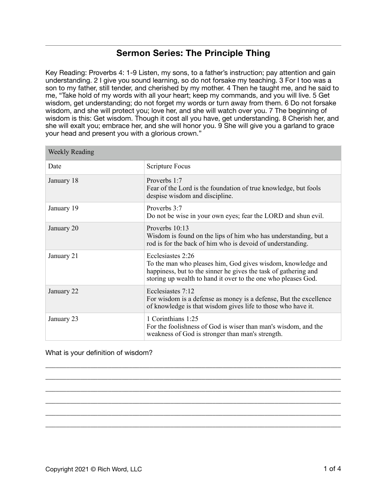## **Sermon Series: The Principle Thing**

Key Reading: Proverbs 4: 1-9 Listen, my sons, to a father's instruction; pay attention and gain understanding. 2 I give you sound learning, so do not forsake my teaching. 3 For I too was a son to my father, still tender, and cherished by my mother. 4 Then he taught me, and he said to me, "Take hold of my words with all your heart; keep my commands, and you will live. 5 Get wisdom, get understanding; do not forget my words or turn away from them. 6 Do not forsake wisdom, and she will protect you; love her, and she will watch over you. 7 The beginning of wisdom is this: Get wisdom. Though it cost all you have, get understanding. 8 Cherish her, and she will exalt you; embrace her, and she will honor you. 9 She will give you a garland to grace your head and present you with a glorious crown."

| <b>Weekly Reading</b> |                                                                                                                                                                                                                      |
|-----------------------|----------------------------------------------------------------------------------------------------------------------------------------------------------------------------------------------------------------------|
| Date                  | Scripture Focus                                                                                                                                                                                                      |
| January 18            | Proverbs 1:7<br>Fear of the Lord is the foundation of true knowledge, but fools<br>despise wisdom and discipline.                                                                                                    |
| January 19            | Proverbs 3:7<br>Do not be wise in your own eyes; fear the LORD and shun evil.                                                                                                                                        |
| January 20            | Proverbs $10:13$<br>Wisdom is found on the lips of him who has understanding, but a<br>rod is for the back of him who is devoid of understanding.                                                                    |
| January 21            | Ecclesiastes 2:26<br>To the man who pleases him, God gives wisdom, knowledge and<br>happiness, but to the sinner he gives the task of gathering and<br>storing up wealth to hand it over to the one who pleases God. |
| January 22            | Ecclesiastes 7:12<br>For wisdom is a defense as money is a defense, But the excellence<br>of knowledge is that wisdom gives life to those who have it.                                                               |
| January 23            | 1 Corinthians 1:25<br>For the foolishness of God is wiser than man's wisdom, and the<br>weakness of God is stronger than man's strength.                                                                             |

\_\_\_\_\_\_\_\_\_\_\_\_\_\_\_\_\_\_\_\_\_\_\_\_\_\_\_\_\_\_\_\_\_\_\_\_\_\_\_\_\_\_\_\_\_\_\_\_\_\_\_\_\_\_\_\_\_\_\_\_\_\_\_\_\_\_\_\_\_\_\_\_\_\_\_\_\_\_\_\_\_\_\_\_\_ \_\_\_\_\_\_\_\_\_\_\_\_\_\_\_\_\_\_\_\_\_\_\_\_\_\_\_\_\_\_\_\_\_\_\_\_\_\_\_\_\_\_\_\_\_\_\_\_\_\_\_\_\_\_\_\_\_\_\_\_\_\_\_\_\_\_\_\_\_\_\_\_\_\_\_\_\_\_\_\_\_\_\_\_\_ \_\_\_\_\_\_\_\_\_\_\_\_\_\_\_\_\_\_\_\_\_\_\_\_\_\_\_\_\_\_\_\_\_\_\_\_\_\_\_\_\_\_\_\_\_\_\_\_\_\_\_\_\_\_\_\_\_\_\_\_\_\_\_\_\_\_\_\_\_\_\_\_\_\_\_\_\_\_\_\_\_\_\_\_\_ \_\_\_\_\_\_\_\_\_\_\_\_\_\_\_\_\_\_\_\_\_\_\_\_\_\_\_\_\_\_\_\_\_\_\_\_\_\_\_\_\_\_\_\_\_\_\_\_\_\_\_\_\_\_\_\_\_\_\_\_\_\_\_\_\_\_\_\_\_\_\_\_\_\_\_\_\_\_\_\_\_\_\_\_\_ \_\_\_\_\_\_\_\_\_\_\_\_\_\_\_\_\_\_\_\_\_\_\_\_\_\_\_\_\_\_\_\_\_\_\_\_\_\_\_\_\_\_\_\_\_\_\_\_\_\_\_\_\_\_\_\_\_\_\_\_\_\_\_\_\_\_\_\_\_\_\_\_\_\_\_\_\_\_\_\_\_\_\_\_\_ \_\_\_\_\_\_\_\_\_\_\_\_\_\_\_\_\_\_\_\_\_\_\_\_\_\_\_\_\_\_\_\_\_\_\_\_\_\_\_\_\_\_\_\_\_\_\_\_\_\_\_\_\_\_\_\_\_\_\_\_\_\_\_\_\_\_\_\_\_\_\_\_\_\_\_\_\_\_\_\_\_\_\_\_\_

## What is your definition of wisdom?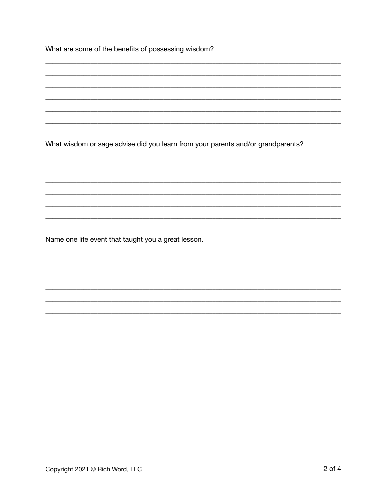What are some of the benefits of possessing wisdom?

What wisdom or sage advise did you learn from your parents and/or grandparents?

Name one life event that taught you a great lesson.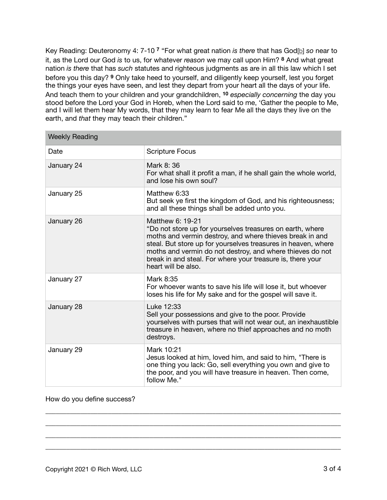Key Reading: Deuteronomy 4: 7-10 **7** "For what great nation *is there* that has God[b] *so* near to it, as the Lord our God *is* to us, for whatever *reason* we may call upon Him? **8** And what great nation *is there* that has *such* statutes and righteous judgments as are in all this law which I set before you this day? **9** Only take heed to yourself, and diligently keep yourself, lest you forget the things your eyes have seen, and lest they depart from your heart all the days of your life. And teach them to your children and your grandchildren, **10** *especially concerning* the day you stood before the Lord your God in Horeb, when the Lord said to me, 'Gather the people to Me, and I will let them hear My words, that they may learn to fear Me all the days they live on the earth, and *that* they may teach their children."

| <b>Weekly Reading</b> |                                                                                                                                                                                                                                                                                                                                                              |
|-----------------------|--------------------------------------------------------------------------------------------------------------------------------------------------------------------------------------------------------------------------------------------------------------------------------------------------------------------------------------------------------------|
| Date                  | <b>Scripture Focus</b>                                                                                                                                                                                                                                                                                                                                       |
| January 24            | Mark 8: 36<br>For what shall it profit a man, if he shall gain the whole world,<br>and lose his own soul?                                                                                                                                                                                                                                                    |
| January 25            | Matthew 6:33<br>But seek ye first the kingdom of God, and his righteousness;<br>and all these things shall be added unto you.                                                                                                                                                                                                                                |
| January 26            | Matthew 6: 19-21<br>"Do not store up for yourselves treasures on earth, where<br>moths and vermin destroy, and where thieves break in and<br>steal. But store up for yourselves treasures in heaven, where<br>moths and vermin do not destroy, and where thieves do not<br>break in and steal. For where your treasure is, there your<br>heart will be also. |
| January 27            | Mark 8:35<br>For whoever wants to save his life will lose it, but whoever<br>loses his life for My sake and for the gospel will save it.                                                                                                                                                                                                                     |
| January 28            | Luke 12:33<br>Sell your possessions and give to the poor. Provide<br>yourselves with purses that will not wear out, an inexhaustible<br>treasure in heaven, where no thief approaches and no moth<br>destroys.                                                                                                                                               |
| January 29            | Mark 10:21<br>Jesus looked at him, loved him, and said to him, "There is<br>one thing you lack: Go, sell everything you own and give to<br>the poor, and you will have treasure in heaven. Then come,<br>follow Me."                                                                                                                                         |

\_\_\_\_\_\_\_\_\_\_\_\_\_\_\_\_\_\_\_\_\_\_\_\_\_\_\_\_\_\_\_\_\_\_\_\_\_\_\_\_\_\_\_\_\_\_\_\_\_\_\_\_\_\_\_\_\_\_\_\_\_\_\_\_\_\_\_\_\_\_\_\_\_\_\_\_\_\_\_\_\_\_\_\_\_ \_\_\_\_\_\_\_\_\_\_\_\_\_\_\_\_\_\_\_\_\_\_\_\_\_\_\_\_\_\_\_\_\_\_\_\_\_\_\_\_\_\_\_\_\_\_\_\_\_\_\_\_\_\_\_\_\_\_\_\_\_\_\_\_\_\_\_\_\_\_\_\_\_\_\_\_\_\_\_\_\_\_\_\_\_ \_\_\_\_\_\_\_\_\_\_\_\_\_\_\_\_\_\_\_\_\_\_\_\_\_\_\_\_\_\_\_\_\_\_\_\_\_\_\_\_\_\_\_\_\_\_\_\_\_\_\_\_\_\_\_\_\_\_\_\_\_\_\_\_\_\_\_\_\_\_\_\_\_\_\_\_\_\_\_\_\_\_\_\_\_ \_\_\_\_\_\_\_\_\_\_\_\_\_\_\_\_\_\_\_\_\_\_\_\_\_\_\_\_\_\_\_\_\_\_\_\_\_\_\_\_\_\_\_\_\_\_\_\_\_\_\_\_\_\_\_\_\_\_\_\_\_\_\_\_\_\_\_\_\_\_\_\_\_\_\_\_\_\_\_\_\_\_\_\_\_

## How do you define success?